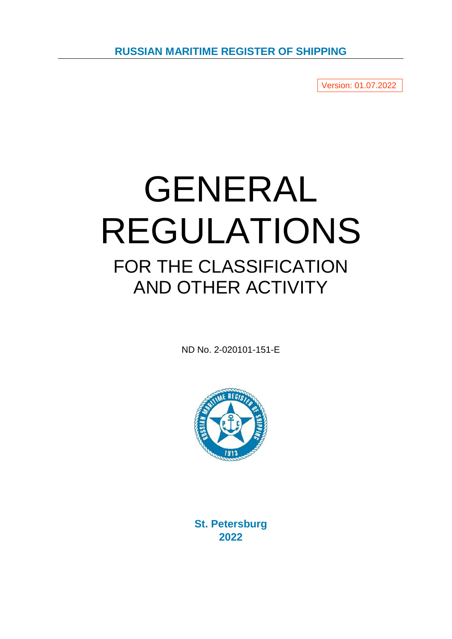**RUSSIAN MARITIME REGISTER OF SHIPPING**

Version: 01.07.2022

# GENERAL REGULATIONS FOR THE CLASSIFICATION AND OTHER ACTIVITY

ND No. 2-020101-151-E



**St. Petersburg 2022**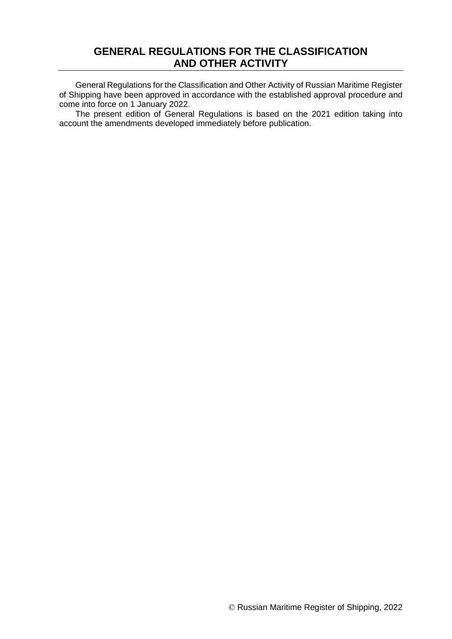# **GENERAL REGULATIONS FOR THE CLASSIFICATION AND OTHER ACTIVITY**

General Regulations for the Classification and Other Activity of Russian Maritime Register of Shipping have been approved in accordance with the established approval procedure and come into force on 1 January 2022.

The present edition of General Regulations is based on the 2021 edition taking into account the amendments developed immediately before publication.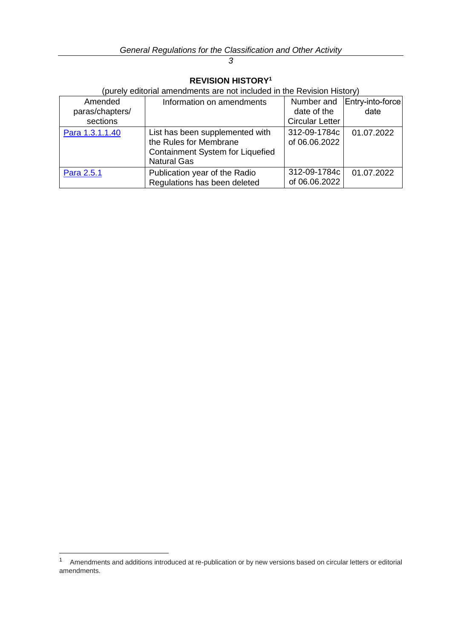# **REVISION HISTORY<sup>1</sup>**

(purely editorial amendments are not included in the Revision History)

| Amended<br>paras/chapters/<br>sections | Information on amendments                                                                                           | Number and<br>date of the<br><b>Circular Letter</b> | Entry-into-force<br>date |
|----------------------------------------|---------------------------------------------------------------------------------------------------------------------|-----------------------------------------------------|--------------------------|
| Para 1.3.1.1.40                        | List has been supplemented with<br>the Rules for Membrane<br>Containment System for Liquefied<br><b>Natural Gas</b> | 312-09-1784c<br>of 06.06.2022                       | 01.07.2022               |
| Para 2.5.1                             | Publication year of the Radio<br>Regulations has been deleted                                                       | 312-09-1784c<br>of 06.06.2022                       | 01.07.2022               |

-

#### *3*

<sup>&</sup>lt;sup>1</sup> Amendments and additions introduced at re-publication or by new versions based on circular letters or editorial amendments.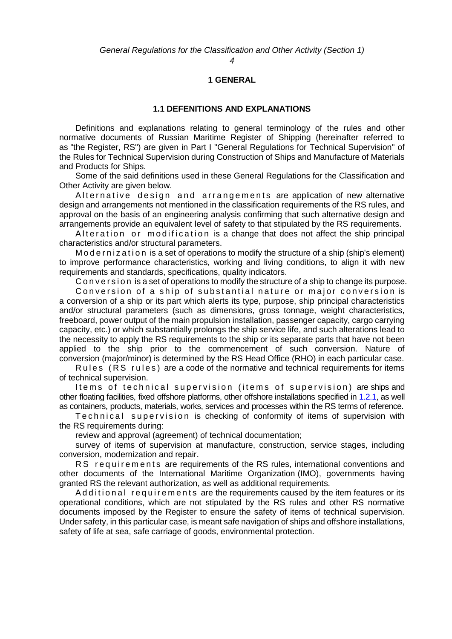**1 GENERAL**

#### **1.1 DEFENITIONS AND EXPLANATIONS**

Definitions and explanations relating to general terminology of the rules and other normative documents of Russian Maritime Register of Shipping (hereinafter referred to as "the Register, RS") are given in Part I "General Regulations for Technical Supervision" of the Rules for Technical Supervision during Construction of Ships and Manufacture of Materials and Products for Ships.

Some of the said definitions used in these General Regulations for the Classification and Other Activity are given below.

Alternative design and arrangements are application of new alternative design and arrangements not mentioned in the classification requirements of the RS rules, and approval on the basis of an engineering analysis confirming that such alternative design and arrangements provide an equivalent level of safety to that stipulated by the RS requirements.

Alteration or modification is a change that does not affect the ship principal characteristics and/or structural parameters.

M o de r n i z a t i o n is a set of operations to modify the structure of a ship (ship's element) to improve performance characteristics, working and living conditions, to align it with new requirements and standards, specifications, quality indicators.

C on version is a set of operations to modify the structure of a ship to change its purpose.

Conversion of a ship of substantial nature or major conversion is a conversion of a ship or its part which alerts its type, purpose, ship principal characteristics and/or structural parameters (such as dimensions, gross tonnage, weight characteristics, freeboard, power output of the main propulsion installation, passenger capacity, cargo carrying capacity, etc.) or which substantially prolongs the ship service life, and such alterations lead to the necessity to apply the RS requirements to the ship or its separate parts that have not been applied to the ship prior to the commencement of such conversion. Nature of conversion (major/minor) is determined by the RS Head Office (RHO) in each particular case.

Rules (RS rules) are a code of the normative and technical requirements for items of technical supervision.

I tems of technical supervision (items of supervision) are ships and other floating facilities, fixed offshore platforms, other offshore installations specified in [1.2.1,](#page-5-0) as well as containers, products, materials, works, services and processes within the RS terms of reference.

Technical supervision is checking of conformity of items of supervision with the RS requirements during:

review and approval (agreement) of technical documentation;

survey of items of supervision at manufacture, construction, service stages, including conversion, modernization and repair.

RS requirements are requirements of the RS rules, international conventions and other documents of the International Maritime Organization (IMO), governments having granted RS the relevant authorization, as well as additional requirements.

Additional requirements are the requirements caused by the item features or its operational conditions, which are not stipulated by the RS rules and other RS normative documents imposed by the Register to ensure the safety of items of technical supervision. Under safety, in this particular case, is meant safe navigation of ships and offshore installations, safety of life at sea, safe carriage of goods, environmental protection.

*4*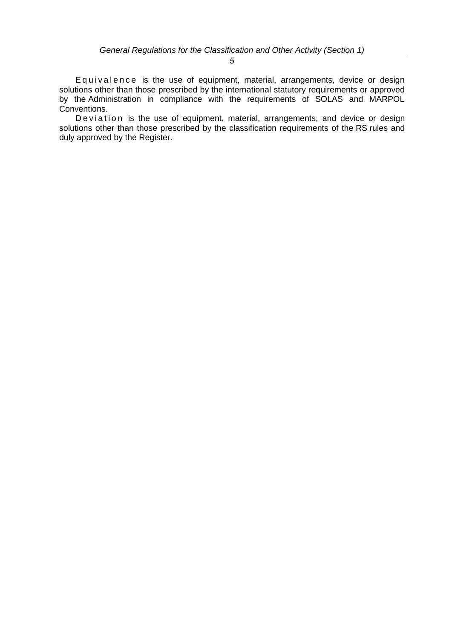Equivalence is the use of equipment, material, arrangements, device or design solutions other than those prescribed by the international statutory requirements or approved by the Administration in compliance with the requirements of SOLAS and MARPOL Conventions.

De viation is the use of equipment, material, arrangements, and device or design solutions other than those prescribed by the classification requirements of the RS rules and duly approved by the Register.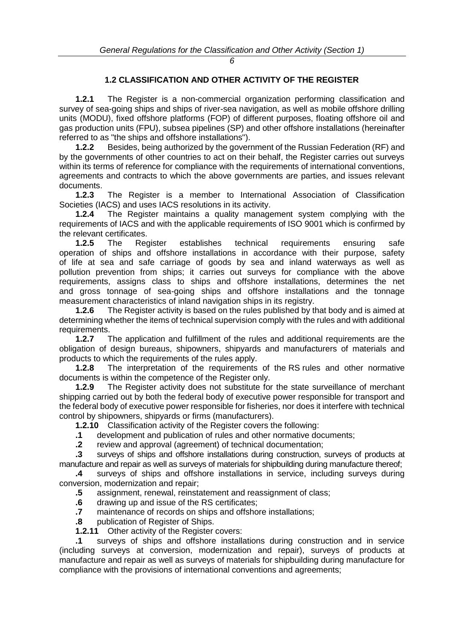# **1.2 CLASSIFICATION AND OTHER ACTIVITY OF THE REGISTER**

<span id="page-5-0"></span>**1.2.1** The Register is a non-commercial organization performing classification and survey of sea-going ships and ships of river-sea navigation, as well as mobile offshore drilling units (MODU), fixed offshore platforms (FOP) of different purposes, floating offshore oil and gas production units (FPU), subsea pipelines (SP) and other offshore installations (hereinafter referred to as "the ships and offshore installations").

**1.2.2** Besides, being authorized by the government of the Russian Federation (RF) and by the governments of other countries to act on their behalf, the Register carries out surveys within its terms of reference for compliance with the requirements of international conventions, agreements and contracts to which the above governments are parties, and issues relevant documents.<br>1.2.3

**1.2.3** The Register is a member to International Association of Classification Societies (IACS) and uses IACS resolutions in its activity.

**1.2.4** The Register maintains a quality management system complying with the requirements of IACS and with the applicable requirements of ISO 9001 which is confirmed by the relevant certificates.

**1.2.5** The Register establishes technical requirements ensuring safe operation of ships and offshore installations in accordance with their purpose, safety of life at sea and safe carriage of goods by sea and inland waterways as well as pollution prevention from ships; it carries out surveys for compliance with the above requirements, assigns class to ships and offshore installations, determines the net and gross tonnage of sea-going ships and offshore installations and the tonnage measurement characteristics of inland navigation ships in its registry.

**1.2.6** The Register activity is based on the rules published by that body and is aimed at determining whether the items of technical supervision comply with the rules and with additional requirements.

**1.2.7** The application and fulfillment of the rules and additional requirements are the obligation of design bureaus, shipowners, shipyards and manufacturers of materials and products to which the requirements of the rules apply.

**1.2.8** The interpretation of the requirements of the RS rules and other normative documents is within the competence of the Register only.

**1.2.9** The Register activity does not substitute for the state surveillance of merchant shipping carried out by both the federal body of executive power responsible for transport and the federal body of executive power responsible for fisheries, nor does it interfere with technical control by shipowners, shipyards or firms (manufacturers).

**1.2.10** Classification activity of the Register covers the following:

**.1** development and publication of rules and other normative documents;

**.2** review and approval (agreement) of technical documentation;

**.3** surveys of ships and offshore installations during construction, surveys of products at manufacture and repair as well as surveys of materials for shipbuilding during manufacture thereof;

**.4** surveys of ships and offshore installations in service, including surveys during conversion, modernization and repair;

- **.5** assignment, renewal, reinstatement and reassignment of class;
- **.6** drawing up and issue of the RS certificates;
- **.7** maintenance of records on ships and offshore installations;
- **.8** publication of Register of Ships.
- **1.2.11** Other activity of the Register covers:

**.1** surveys of ships and offshore installations during construction and in service (including surveys at conversion, modernization and repair), surveys of products at manufacture and repair as well as surveys of materials for shipbuilding during manufacture for compliance with the provisions of international conventions and agreements;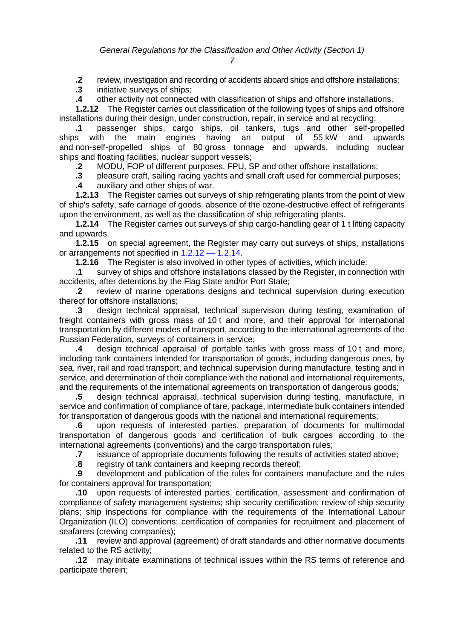**.2** review, investigation and recording of accidents aboard ships and offshore installations;

**.3** initiative surveys of ships;

**.4** other activity not connected with classification of ships and offshore installations.

<span id="page-6-0"></span>**1.2.12** The Register carries out classification of the following types of ships and offshore installations during their design, under construction, repair, in service and at recycling:

**.1** passenger ships, cargo ships, oil tankers, tugs and other self-propelled ships with the main engines having an output of 55 kW and upwards and non-self-propelled ships of 80 gross tonnage and upwards, including nuclear ships and floating facilities, nuclear support vessels;

**.2** MODU, FOP of different purposes, FPU, SP and other offshore installations;

**.3** pleasure craft, sailing racing yachts and small craft used for commercial purposes;

**.4** auxiliary and other ships of war.

**1.2.13** The Register carries out surveys of ship refrigerating plants from the point of view of ship's safety, safe carriage of goods, absence of the ozone-destructive effect of refrigerants upon the environment, as well as the classification of ship refrigerating plants.

**1.2.14** The Register carries out surveys of ship cargo-handling gear of 1 t lifting capacity and upwards.

**1.2.15** on special agreement, the Register may carry out surveys of ships, installations or arrangements not specified in 1.2.12 — [1.2.14.](#page-6-0)

**1.2.16** The Register is also involved in other types of activities, which include:

**.1** survey of ships and offshore installations classed by the Register, in connection with accidents, after detentions by the Flag State and/or Port State;

**.2** review of marine operations designs and technical supervision during execution thereof for offshore installations;

**.3** design technical appraisal, technical supervision during testing, examination of freight containers with gross mass of 10 t and more, and their approval for international transportation by different modes of transport, according to the international agreements of the Russian Federation, surveys of containers in service;

**.4** design technical appraisal of portable tanks with gross mass of 10 t and more, including tank containers intended for transportation of goods, including dangerous ones, by sea, river, rail and road transport, and technical supervision during manufacture, testing and in service, and determination of their compliance with the national and international requirements, and the requirements of the international agreements on transportation of dangerous goods;

**.5** design technical appraisal, technical supervision during testing, manufacture, in service and confirmation of compliance of tare, package, intermediate bulk containers intended for transportation of dangerous goods with the national and international requirements;

**.6** upon requests of interested parties, preparation of documents for multimodal transportation of dangerous goods and certification of bulk cargoes according to the international agreements (conventions) and the cargo transportation rules;

**.7** issuance of appropriate documents following the results of activities stated above;

**.8** registry of tank containers and keeping records thereof;

**.9** development and publication of the rules for containers manufacture and the rules for containers approval for transportation;

**.10** upon requests of interested parties, certification, assessment and confirmation of compliance of safety management systems; ship security certification; review of ship security plans; ship inspections for compliance with the requirements of the International Labour Organization (ILO) conventions; certification of companies for recruitment and placement of seafarers (crewing companies);

**.11** review and approval (agreement) of draft standards and other normative documents related to the RS activity;

**.12** may initiate examinations of technical issues within the RS terms of reference and participate therein;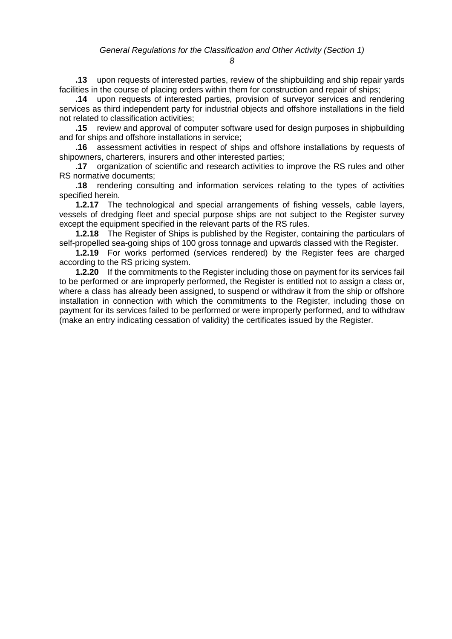**.13** upon requests of interested parties, review of the shipbuilding and ship repair yards facilities in the course of placing orders within them for construction and repair of ships;

**.14** upon requests of interested parties, provision of surveyor services and rendering services as third independent party for industrial objects and offshore installations in the field not related to classification activities;

**.15** review and approval of computer software used for design purposes in shipbuilding and for ships and offshore installations in service;

**.16** assessment activities in respect of ships and offshore installations by requests of shipowners, charterers, insurers and other interested parties;

**.17** organization of scientific and research activities to improve the RS rules and other RS normative documents;

**.18** rendering consulting and information services relating to the types of activities specified herein.

**1.2.17** The technological and special arrangements of fishing vessels, cable layers, vessels of dredging fleet and special purpose ships are not subject to the Register survey except the equipment specified in the relevant parts of the RS rules.

**1.2.18** The Register of Ships is published by the Register, containing the particulars of self-propelled sea-going ships of 100 gross tonnage and upwards classed with the Register.

**1.2.19** For works performed (services rendered) by the Register fees are charged according to the RS pricing system.

**1.2.20** If the commitments to the Register including those on payment for its services fail to be performed or are improperly performed, the Register is entitled not to assign a class or, where a class has already been assigned, to suspend or withdraw it from the ship or offshore installation in connection with which the commitments to the Register, including those on payment for its services failed to be performed or were improperly performed, and to withdraw (make an entry indicating cessation of validity) the certificates issued by the Register.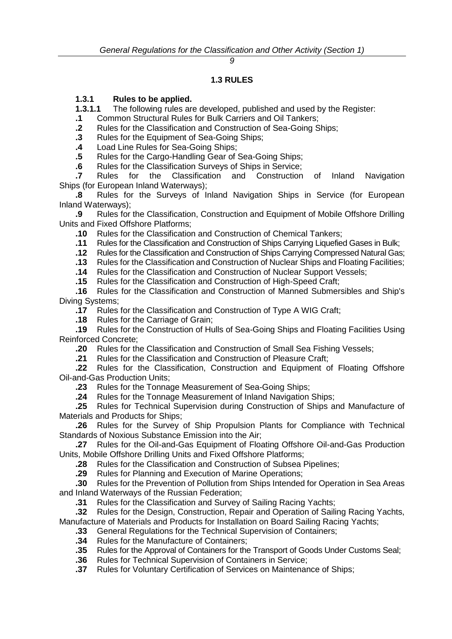# **1.3 RULES**

# **1.3.1 Rules to be applied.**

<span id="page-8-0"></span>**1.3.1.1** The following rules are developed, published and used by the Register:

- **.1** Common Structural Rules for Bulk Carriers and Oil Tankers;
- **.2** Rules for the Classification and Construction of Sea-Going Ships;
- **.3** Rules for the Equipment of Sea-Going Ships;
- **.4** Load Line Rules for Sea-Going Ships;
- **.5** Rules for the Cargo-Handling Gear of Sea-Going Ships;
- **.6** Rules for the Classification Surveys of Ships in Service;

**.7** Rules for the Classification and Construction of Inland Navigation Ships (for European Inland Waterways);

**.8** Rules for the Surveys of Inland Navigation Ships in Service (for European Inland Waterways);

**.9** Rules for the Classification, Construction and Equipment of Mobile Offshore Drilling Units and Fixed Offshore Platforms;

- **.10** Rules for the Classification and Construction of Chemical Tankers;
- **.11** Rules for the Classification and Construction of Ships Carrying Liquefied Gases in Bulk;
- **.12** Rules for the Classification and Construction of Ships Carrying Compressed Natural Gas;
- **.13** Rules for the Classification and Construction of Nuclear Ships and Floating Facilities;
- **.14** Rules for the Classification and Construction of Nuclear Support Vessels;
- **.15** Rules for the Classification and Construction of High-Speed Craft;

**.16** Rules for the Classification and Construction of Manned Submersibles and Ship's Diving Systems;

- **.17** Rules for the Classification and Construction of Type A WIG Craft;
- **.18** Rules for the Carriage of Grain;

**.19** Rules for the Construction of Hulls of Sea-Going Ships and Floating Facilities Using Reinforced Concrete;

- **.20** Rules for the Classification and Construction of Small Sea Fishing Vessels;
- **.21** Rules for the Classification and Construction of Pleasure Craft;

**.22** Rules for the Classification, Construction and Equipment of Floating Offshore Oil-and-Gas Production Units;

**.23** Rules for the Tonnage Measurement of Sea-Going Ships;

**.24** Rules for the Tonnage Measurement of Inland Navigation Ships;

**.25** Rules for Technical Supervision during Construction of Ships and Manufacture of Materials and Products for Ships;

**.26** Rules for the Survey of Ship Propulsion Plants for Compliance with Technical Standards of Noxious Substance Emission into the Air;

**.27** Rules for the Oil-and-Gas Equipment of Floating Offshore Oil-and-Gas Production Units, Mobile Offshore Drilling Units and Fixed Offshore Platforms;

**.28** Rules for the Classification and Construction of Subsea Pipelines;

**.29** Rules for Planning and Execution of Marine Operations;

**.30** Rules for the Prevention of Pollution from Ships Intended for Operation in Sea Areas and Inland Waterways of the Russian Federation;

**.31** Rules for the Classification and Survey of Sailing Racing Yachts;

**.32** Rules for the Design, Construction, Repair and Operation of Sailing Racing Yachts, Manufacture of Materials and Products for Installation on Board Sailing Racing Yachts;

- **.33** General Regulations for the Technical Supervision of Containers;
- **.34** Rules for the Manufacture of Containers;
- **.35** Rules for the Approval of Containers for the Transport of Goods Under Customs Seal;
- **.36** Rules for Technical Supervision of Containers in Service;
- **.37** Rules for Voluntary Certification of Services on Maintenance of Ships;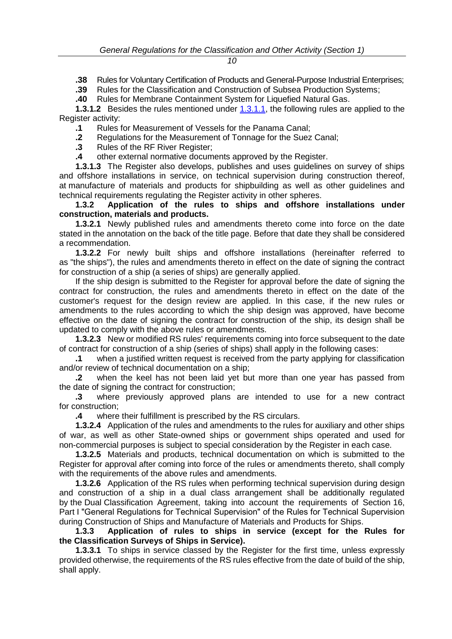**.38** Rules for Voluntary Certification of Products and General-Purpose Industrial Enterprises;

**.39** Rules for the Classification and Construction of Subsea Production Systems;

**.40** Rules for Membrane Containment System for Liquefied Natural Gas.

<span id="page-9-0"></span>**1.3.1.2** Besides the rules mentioned under [1.3.1.1,](#page-8-0) the following rules are applied to the Register activity:

**.1** Rules for Measurement of Vessels for the Panama Canal;

**.2** Regulations for the Measurement of Tonnage for the Suez Canal;

**.3** Rules of the RF River Register;

**.4** other external normative documents approved by the Register.

**1.3.1.3** The Register also develops, publishes and uses guidelines on survey of ships and offshore installations in service, on technical supervision during construction thereof, at manufacture of materials and products for shipbuilding as well as other guidelines and technical requirements regulating the Register activity in other spheres.

**1.3.2 Application of the rules to ships and offshore installations under construction, materials and products.**

**1.3.2.1** Newly published rules and amendments thereto come into force on the date stated in the annotation on the back of the title page. Before that date they shall be considered a recommendation.

**1.3.2.2** For newly built ships and offshore installations (hereinafter referred to as "the ships"), the rules and amendments thereto in effect on the date of signing the contract for construction of a ship (a series of ships) are generally applied.

If the ship design is submitted to the Register for approval before the date of signing the contract for construction, the rules and amendments thereto in effect on the date of the customer's request for the design review are applied. In this case, if the new rules or amendments to the rules according to which the ship design was approved, have become effective on the date of signing the contract for construction of the ship, its design shall be updated to comply with the above rules or amendments.

**1.3.2.3** New or modified RS rules' requirements coming into force subsequent to the date of contract for construction of a ship (series of ships) shall apply in the following cases:<br>1. when a justified written request is received from the party applying for classif

when a justified written request is received from the party applying for classification and/or review of technical documentation on a ship;

**.2** when the keel has not been laid yet but more than one year has passed from the date of signing the contract for construction:

**.3** where previously approved plans are intended to use for a new contract for construction;

**.4** where their fulfillment is prescribed by the RS circulars.

**1.3.2.4** Application of the rules and amendments to the rules for auxiliary and other ships of war, as well as other State-owned ships or government ships operated and used for non-commercial purposes is subject to special consideration by the Register in each case.

**1.3.2.5** Materials and products, technical documentation on which is submitted to the Register for approval after coming into force of the rules or amendments thereto, shall comply with the requirements of the above rules and amendments.

**1.3.2.6** Application of the RS rules when performing technical supervision during design and construction of a ship in a dual class arrangement shall be additionally regulated by the Dual Classification Agreement, taking into account the requirements of Section 16, Part I "General Regulations for Technical Supervision" of the Rules for Technical Supervision during Construction of Ships and Manufacture of Materials and Products for Ships.

**1.3.3 Application of rules to ships in service (except for the Rules for the Classification Surveys of Ships in Service).**

**1.3.3.1** To ships in service classed by the Register for the first time, unless expressly provided otherwise, the requirements of the RS rules effective from the date of build of the ship, shall apply.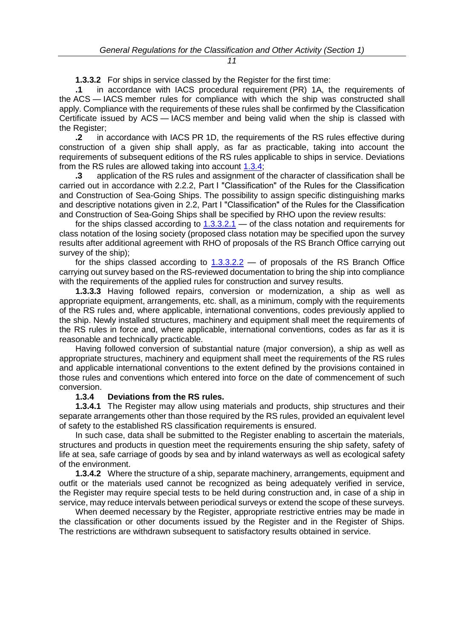**1.3.3.2** For ships in service classed by the Register for the first time:

<span id="page-10-1"></span>**.1** in accordance with IACS procedural requirement (PR) 1A, the requirements of the ACS — IACS member rules for compliance with which the ship was constructed shall apply. Compliance with the requirements of these rules shall be confirmed by the Classification Certificate issued by ACS — IACS member and being valid when the ship is classed with the Register;

<span id="page-10-2"></span>**.2** in accordance with IACS PR 1D, the requirements of the RS rules effective during construction of a given ship shall apply, as far as practicable, taking into account the requirements of subsequent editions of the RS rules applicable to ships in service. Deviations from the RS rules are allowed taking into account  $1.3.4$ ;

**.3** application of the RS rules and assignment of the character of classification shall be carried out in accordance with 2.2.2, Part I "Classification" of the Rules for the Classification and Construction of Sea-Going Ships. The possibility to assign specific distinguishing marks and descriptive notations given in 2.2, Part I "Classification" of the Rules for the Classification and Construction of Sea-Going Ships shall be specified by RHO upon the review results:

for the ships classed according to [1.3.3.2.1](#page-10-1) — of the class notation and requirements for class notation of the losing society (proposed class notation may be specified upon the survey results after additional agreement with RHO of proposals of the RS Branch Office carrying out survey of the ship);

for the ships classed according to  $1.3.3.2.2$  — of proposals of the RS Branch Office carrying out survey based on the RS-reviewed documentation to bring the ship into compliance with the requirements of the applied rules for construction and survey results.

**1.3.3.3** Having followed repairs, conversion or modernization, a ship as well as appropriate equipment, arrangements, etc. shall, as a minimum, comply with the requirements of the RS rules and, where applicable, international conventions, codes previously applied to the ship. Newly installed structures, machinery and equipment shall meet the requirements of the RS rules in force and, where applicable, international conventions, codes as far as it is reasonable and technically practicable.

Having followed conversion of substantial nature (major conversion), a ship as well as appropriate structures, machinery and equipment shall meet the requirements of the RS rules and applicable international conventions to the extent defined by the provisions contained in those rules and conventions which entered into force on the date of commencement of such conversion.

#### **1.3.4 Deviations from the RS rules.**

<span id="page-10-0"></span>**1.3.4.1** The Register may allow using materials and products, ship structures and their separate arrangements other than those required by the RS rules, provided an equivalent level of safety to the established RS classification requirements is ensured.

In such case, data shall be submitted to the Register enabling to ascertain the materials, structures and products in question meet the requirements ensuring the ship safety, safety of life at sea, safe carriage of goods by sea and by inland waterways as well as ecological safety of the environment.

**1.3.4.2** Where the structure of a ship, separate machinery, arrangements, equipment and outfit or the materials used cannot be recognized as being adequately verified in service, the Register may require special tests to be held during construction and, in case of a ship in service, may reduce intervals between periodical surveys or extend the scope of these surveys.

When deemed necessary by the Register, appropriate restrictive entries may be made in the classification or other documents issued by the Register and in the Register of Ships. The restrictions are withdrawn subsequent to satisfactory results obtained in service.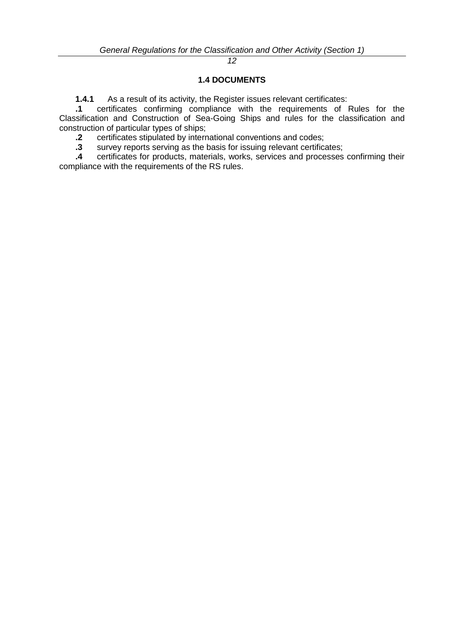## **1.4 DOCUMENTS**

**1.4.1** As a result of its activity, the Register issues relevant certificates:

**.1** certificates confirming compliance with the requirements of Rules for the Classification and Construction of Sea-Going Ships and rules for the classification and construction of particular types of ships;

**.2** certificates stipulated by international conventions and codes;

**.3** survey reports serving as the basis for issuing relevant certificates;

**.4** certificates for products, materials, works, services and processes confirming their compliance with the requirements of the RS rules.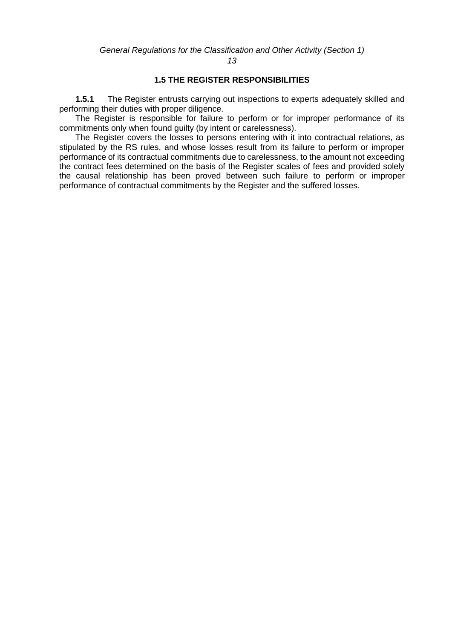## **1.5 THE REGISTER RESPONSIBILITIES**

**1.5.1** The Register entrusts carrying out inspections to experts adequately skilled and performing their duties with proper diligence.

The Register is responsible for failure to perform or for improper performance of its commitments only when found guilty (by intent or carelessness).

The Register covers the losses to persons entering with it into contractual relations, as stipulated by the RS rules, and whose losses result from its failure to perform or improper performance of its contractual commitments due to carelessness, to the amount not exceeding the contract fees determined on the basis of the Register scales of fees and provided solely the causal relationship has been proved between such failure to perform or improper performance of contractual commitments by the Register and the suffered losses.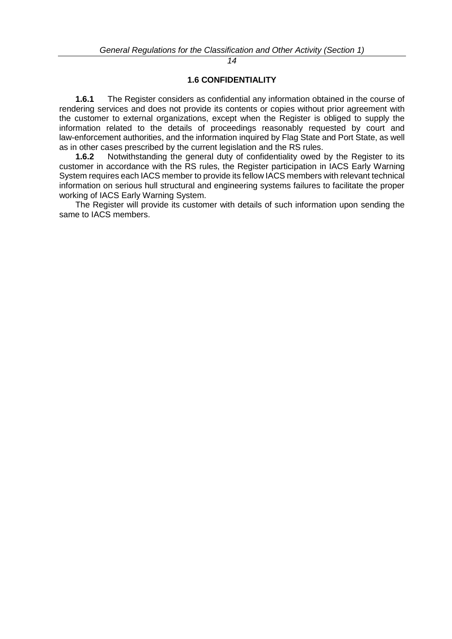## **1.6 CONFIDENTIALITY**

**1.6.1** The Register considers as confidential any information obtained in the course of rendering services and does not provide its contents or copies without prior agreement with the customer to external organizations, except when the Register is obliged to supply the information related to the details of proceedings reasonably requested by court and law-enforcement authorities, and the information inquired by Flag State and Port State, as well as in other cases prescribed by the current legislation and the RS rules.

**1.6.2** Notwithstanding the general duty of confidentiality owed by the Register to its customer in accordance with the RS rules, the Register participation in IACS Early Warning System requires each IACS member to provide its fellow IACS members with relevant technical information on serious hull structural and engineering systems failures to facilitate the proper working of IACS Early Warning System.

The Register will provide its customer with details of such information upon sending the same to IACS members.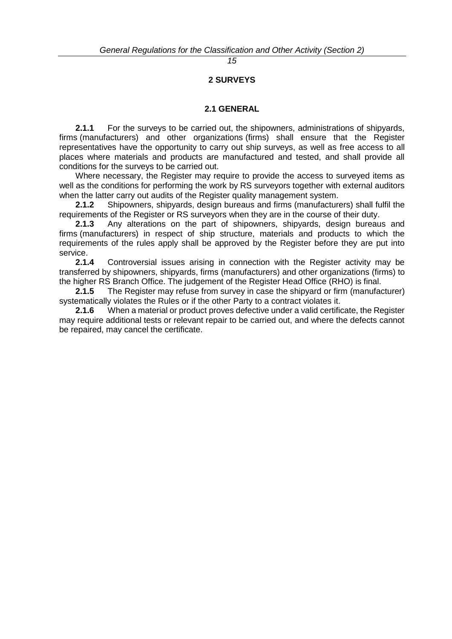# **2 SURVEYS**

#### **2.1 GENERAL**

**2.1.1** For the surveys to be carried out, the shipowners, administrations of shipyards, firms (manufacturers) and other organizations (firms) shall ensure that the Register representatives have the opportunity to carry out ship surveys, as well as free access to all places where materials and products are manufactured and tested, and shall provide all conditions for the surveys to be carried out.

Where necessary, the Register may require to provide the access to surveyed items as well as the conditions for performing the work by RS surveyors together with external auditors when the latter carry out audits of the Register quality management system.

**2.1.2** Shipowners, shipyards, design bureaus and firms (manufacturers) shall fulfil the requirements of the Register or RS surveyors when they are in the course of their duty.

**2.1.3** Any alterations on the part of shipowners, shipyards, design bureaus and firms (manufacturers) in respect of ship structure, materials and products to which the requirements of the rules apply shall be approved by the Register before they are put into service.

**2.1.4** Controversial issues arising in connection with the Register activity may be transferred by shipowners, shipyards, firms (manufacturers) and other organizations (firms) to the higher RS Branch Office. The judgement of the Register Head Office (RHO) is final.

**2.1.5** The Register may refuse from survey in case the shipyard or firm (manufacturer) systematically violates the Rules or if the other Party to a contract violates it.

**2.1.6** When a material or product proves defective under a valid certificate, the Register may require additional tests or relevant repair to be carried out, and where the defects cannot be repaired, may cancel the certificate.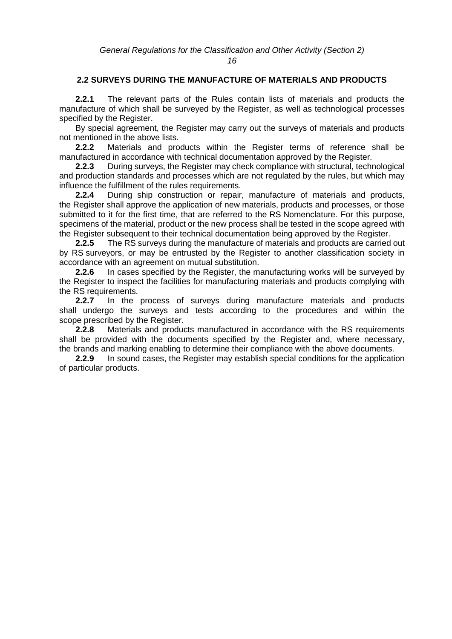# **2.2 SURVEYS DURING THE MANUFACTURE OF MATERIALS AND PRODUCTS**

**2.2.1** The relevant parts of the Rules contain lists of materials and products the manufacture of which shall be surveyed by the Register, as well as technological processes specified by the Register.

By special agreement, the Register may carry out the surveys of materials and products not mentioned in the above lists.

**2.2.2** Materials and products within the Register terms of reference shall be manufactured in accordance with technical documentation approved by the Register.

**2.2.3** During surveys, the Register may check compliance with structural, technological and production standards and processes which are not regulated by the rules, but which may influence the fulfillment of the rules requirements.

**2.2.4** During ship construction or repair, manufacture of materials and products, the Register shall approve the application of new materials, products and processes, or those submitted to it for the first time, that are referred to the RS Nomenclature. For this purpose, specimens of the material, product or the new process shall be tested in the scope agreed with the Register subsequent to their technical documentation being approved by the Register.

**2.2.5** The RS surveys during the manufacture of materials and products are carried out by RS surveyors, or may be entrusted by the Register to another classification society in accordance with an agreement on mutual substitution.

**2.2.6** In cases specified by the Register, the manufacturing works will be surveyed by the Register to inspect the facilities for manufacturing materials and products complying with the RS requirements.

**2.2.7** In the process of surveys during manufacture materials and products shall undergo the surveys and tests according to the procedures and within the scope prescribed by the Register.

**2.2.8** Materials and products manufactured in accordance with the RS requirements shall be provided with the documents specified by the Register and, where necessary, the brands and marking enabling to determine their compliance with the above documents.

**2.2.9** In sound cases, the Register may establish special conditions for the application of particular products.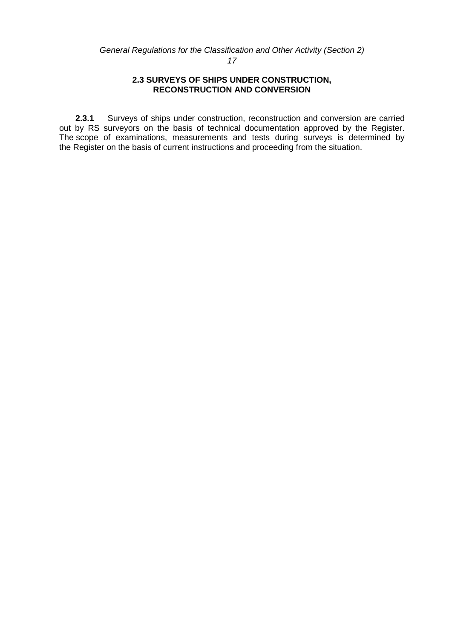#### **2.3 SURVEYS OF SHIPS UNDER CONSTRUCTION, RECONSTRUCTION AND CONVERSION**

**2.3.1** Surveys of ships under construction, reconstruction and conversion are carried out by RS surveyors on the basis of technical documentation approved by the Register. The scope of examinations, measurements and tests during surveys is determined by the Register on the basis of current instructions and proceeding from the situation.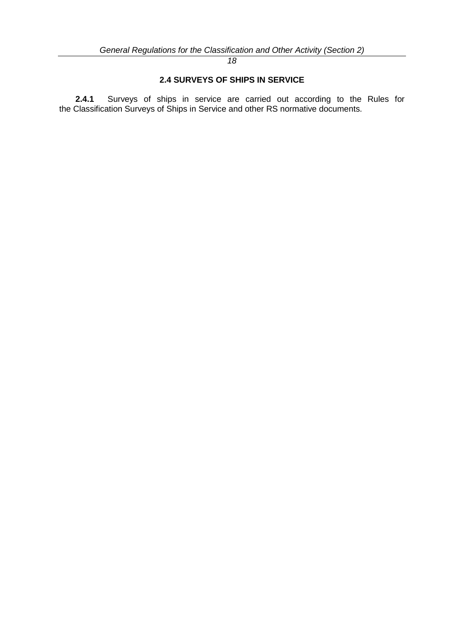# **2.4 SURVEYS OF SHIPS IN SERVICE**

**2.4.1** Surveys of ships in service are carried out according to the Rules for the Classification Surveys of Ships in Service and other RS normative documents.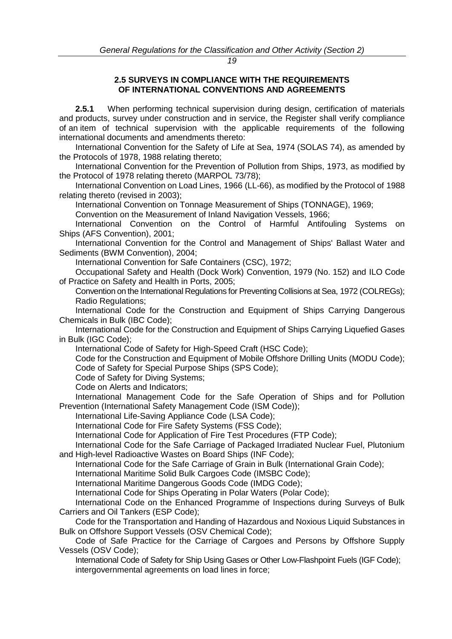#### **2.5 SURVEYS IN COMPLIANCE WITH THE REQUIREMENTS OF INTERNATIONAL CONVENTIONS AND AGREEMENTS**

<span id="page-18-0"></span>**2.5.1** When performing technical supervision during design, certification of materials and products, survey under construction and in service, the Register shall verify compliance of an item of technical supervision with the applicable requirements of the following international documents and amendments thereto:

International Convention for the Safety of Life at Sea, 1974 (SOLAS 74), as amended by the Protocols of 1978, 1988 relating thereto;

International Convention for the Prevention of Pollution from Ships, 1973, as modified by the Protocol of 1978 relating thereto (MARPOL 73/78);

International Convention on Load Lines, 1966 (LL-66), as modified by the Protocol of 1988 relating thereto (revised in 2003);

International Convention on Tonnage Measurement of Ships (TONNAGE), 1969;

Convention on the Measurement of Inland Navigation Vessels, 1966;

International Convention on the Control of Harmful Antifouling Systems on Ships (AFS Convention), 2001;

International Convention for the Control and Management of Ships' Ballast Water and Sediments (BWM Convention), 2004;

International Convention for Safe Containers (CSC), 1972;

Occupational Safety and Health (Dock Work) Convention, 1979 (No. 152) and ILO Code of Practice on Safety and Health in Ports, 2005;

Convention on the International Regulations for Preventing Collisions at Sea, 1972 (COLREGs); Radio Regulations;

International Code for the Construction and Equipment of Ships Carrying Dangerous Chemicals in Bulk (IBC Code);

International Code for the Construction and Equipment of Ships Carrying Liquefied Gases in Bulk (IGC Code);

International Code of Safety for High-Speed Craft (HSC Code);

Code for the Construction and Equipment of Mobile Offshore Drilling Units (MODU Code); Code of Safety for Special Purpose Ships (SPS Code);

Code of Safety for Diving Systems;

Code on Alerts and Indicators;

International Management Code for the Safe Operation of Ships and for Pollution Prevention (International Safety Management Code (ISM Code));

International Life-Saving Appliance Code (LSA Code);

International Code for Fire Safety Systems (FSS Code);

International Code for Application of Fire Test Procedures (FTP Code);

International Code for the Safe Carriage of Packaged Irradiated Nuclear Fuel, Plutonium and High-level Radioactive Wastes on Board Ships (INF Code);

International Code for the Safe Carriage of Grain in Bulk (International Grain Code);

International Maritime Solid Bulk Cargoes Code (IMSBC Code);

International Maritime Dangerous Goods Code (IMDG Code);

International Code for Ships Operating in Polar Waters (Polar Code);

International Code on the Enhanced Programme of Inspections during Surveys of Bulk Carriers and Oil Tankers (ESP Code);

Code for the Transportation and Handing of Hazardous and Noxious Liquid Substances in Bulk on Offshore Support Vessels (OSV Chemical Code);

Code of Safe Practice for the Carriage of Cargoes and Persons by Offshore Supply Vessels (OSV Code);

International Code of Safety for Ship Using Gases or Other Low-Flashpoint Fuels (IGF Code); intergovernmental agreements on load lines in force;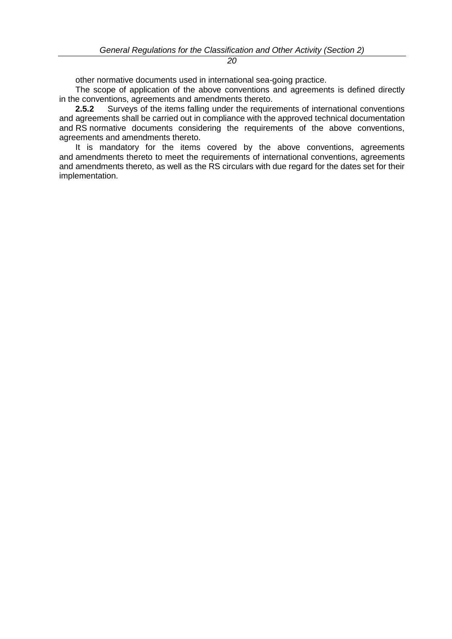other normative documents used in international sea-going practice.

The scope of application of the above conventions and agreements is defined directly in the conventions, agreements and amendments thereto.

**2.5.2** Surveys of the items falling under the requirements of international conventions and agreements shall be carried out in compliance with the approved technical documentation and RS normative documents considering the requirements of the above conventions, agreements and amendments thereto.

It is mandatory for the items covered by the above conventions, agreements and amendments thereto to meet the requirements of international conventions, agreements and amendments thereto, as well as the RS circulars with due regard for the dates set for their implementation.